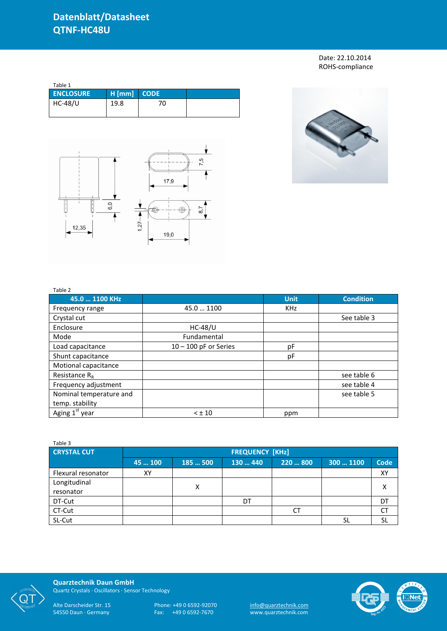Date: 22.10.2014 ROHS-compliance

| Table 1          |          |             |  |
|------------------|----------|-------------|--|
| <b>ENCLOSURE</b> | $H$ [mm] | <b>CODE</b> |  |
| <b>HC-48/U</b>   | 19.8     | 70          |  |
|                  |          |             |  |





## Table 2

| $1$ uvit $2$            |                         |             |                  |
|-------------------------|-------------------------|-------------|------------------|
| 45.0  1100 KHz          |                         | <b>Unit</b> | <b>Condition</b> |
| Frequency range         | 45.0  1100              | <b>KHz</b>  |                  |
| Crystal cut             |                         |             | See table 3      |
| Enclosure               | $HC-48/U$               |             |                  |
| Mode                    | Fundamental             |             |                  |
| Load capacitance        | $10 - 100$ pF or Series | рF          |                  |
| Shunt capacitance       |                         | pF          |                  |
| Motional capacitance    |                         |             |                  |
| Resistance $R_R$        |                         |             | see table 6      |
| Frequency adjustment    |                         |             | see table 4      |
| Nominal temperature and |                         |             | see table 5      |
| temp. stability         |                         |             |                  |
| Aging $1st$ year        | $< \pm 10$              | ppm         |                  |

| Table 3            |                        |        |          |           |           |             |  |
|--------------------|------------------------|--------|----------|-----------|-----------|-------------|--|
| <b>CRYSTAL CUT</b> | <b>FREQUENCY [KHz]</b> |        |          |           |           |             |  |
|                    | 45  100                | 185500 | 130  440 | 220  800  | 300  1100 | <b>Code</b> |  |
| Flexural resonator | XY                     |        |          |           |           | XY          |  |
| Longitudinal       |                        | X      |          |           |           |             |  |
| resonator          |                        |        |          |           |           |             |  |
| DT-Cut             |                        |        | DT       |           |           | DT          |  |
| CT-Cut             |                        |        |          | <b>CT</b> |           | CT          |  |
| SL-Cut             |                        |        |          |           |           | <b>SL</b>   |  |



**Quarztechnik Daun GmbH** Quartz Crystals · Oscillators · Sensor Technology

Alte Darscheider Str. 15 Phone: +49 0 6592-92070 <u>info@quarztechnik.com</u>

54550 Daun · Germany Fax: +49 0 6592-7670 www.quarztechnik.com